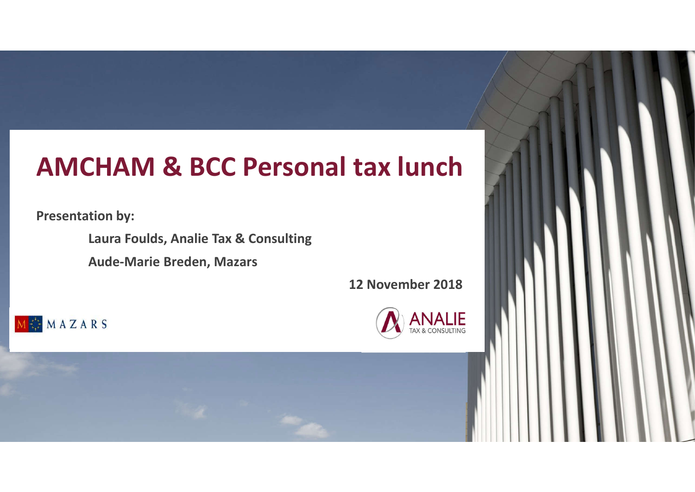### **AMCHAM & BCC Personal tax lunch**

**Presentation by:**

**Laura Foulds, Analie Tax & Consulting**

**Aude-Marie Breden, Mazars**

**12 November 2018**





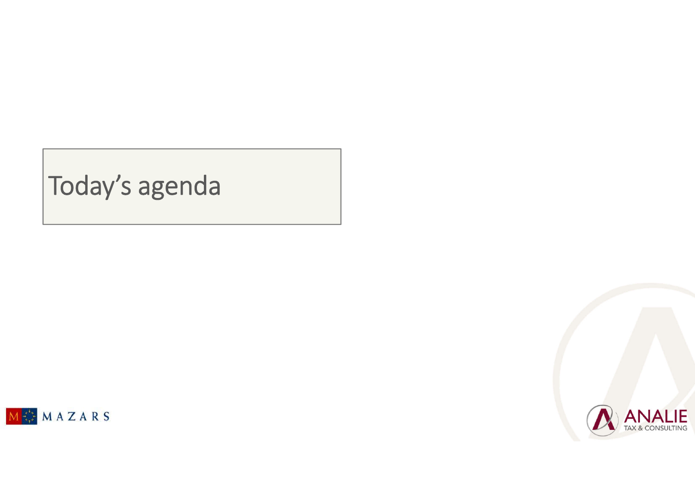## Today's agenda



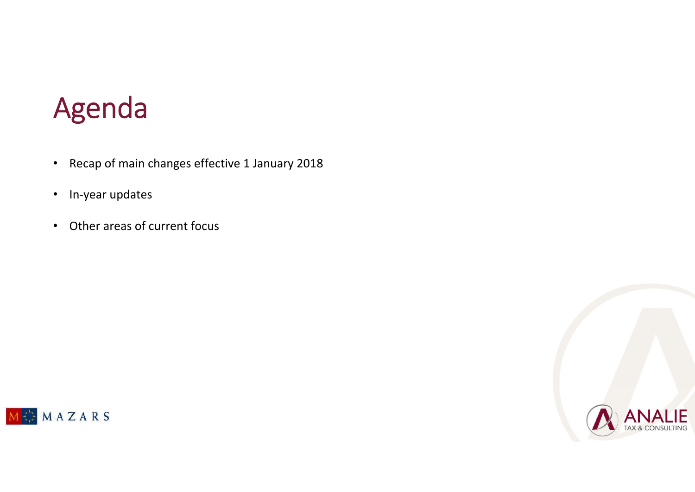# Agenda

- Recap of main changes effective 1 January 2018
- In-year updates
- Other areas of current focus



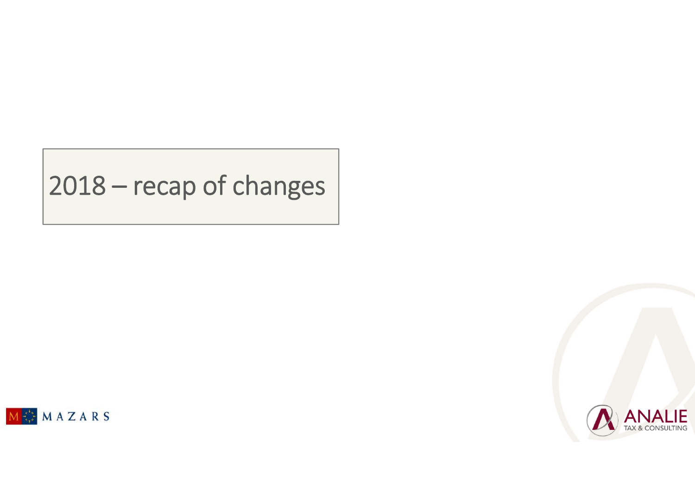## 2018 – recap of changes



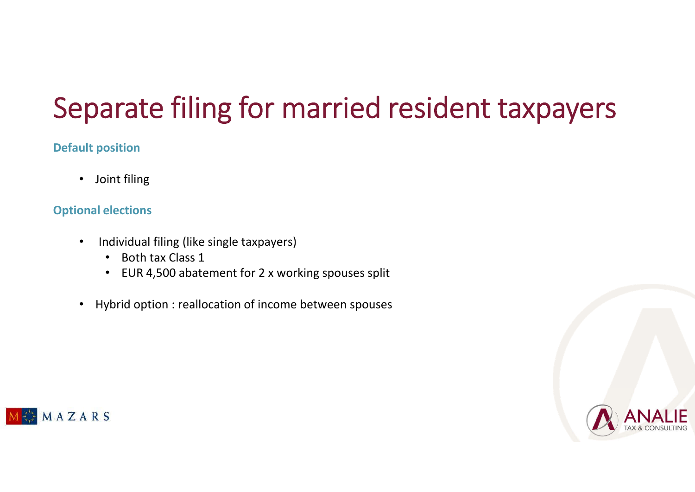# Separate filing for married resident taxpayers

### **Default position**

• Joint filing

### **Optional elections**

- Individual filing (like single taxpayers)
	- Both tax Class 1
	- EUR 4,500 abatement for 2 x working spouses split
- Hybrid option : reallocation of income between spouses



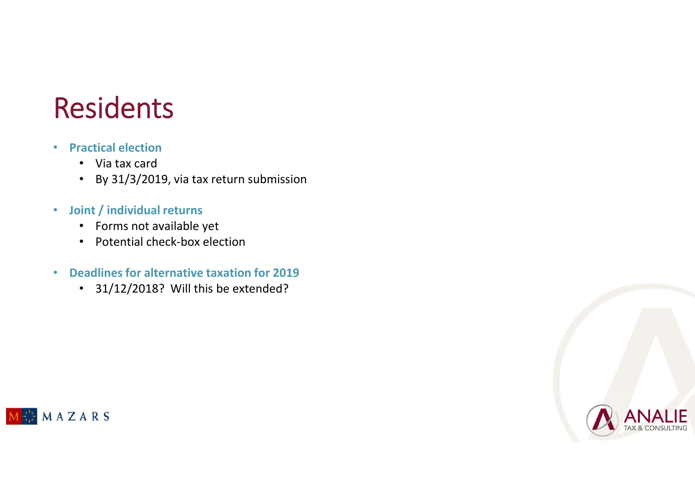## Residents

- **Practical election**
	- Via tax card
	- By 31/3/2019, via tax return submission
- **Joint / individual returns**
	- Forms not available yet
	- Potential check-box election
- **Deadlines for alternative taxation for 2019**
	- 31/12/2018? Will this be extended?



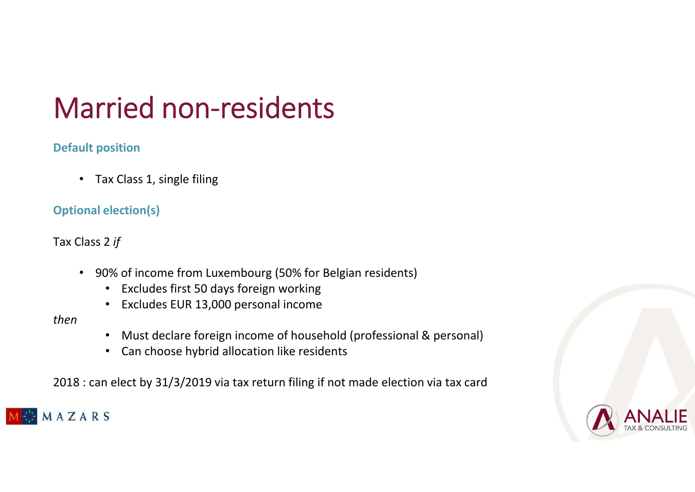# Married non-residents

### **Default position**

• Tax Class 1, single filing

### **Optional election(s)**

Tax Class 2 *if*

- 90% of income from Luxembourg (50% for Belgian residents)
	- Excludes first 50 days foreign working
	- Excludes EUR 13,000 personal income

*then*

- Must declare foreign income of household (professional & personal)
- Can choose hybrid allocation like residents

2018 : can elect by 31/3/2019 via tax return filing if not made election via tax card



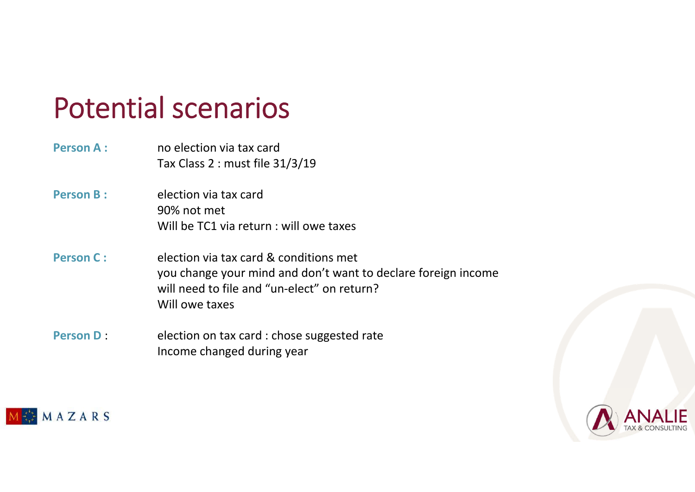## Potential scenarios

- **Person A : no election via tax card** Tax Class 2 : must file 31/3/19
- **Person B: election via tax card** 90% not met Will be TC1 via return : will owe taxes
- **Person C :** election via tax card & conditions met you change your mind and don't want to declare foreign income will need to file and "un-elect" on return? Will owe taxes
- **Person D :** election on tax card : chose suggested rate Income changed during year



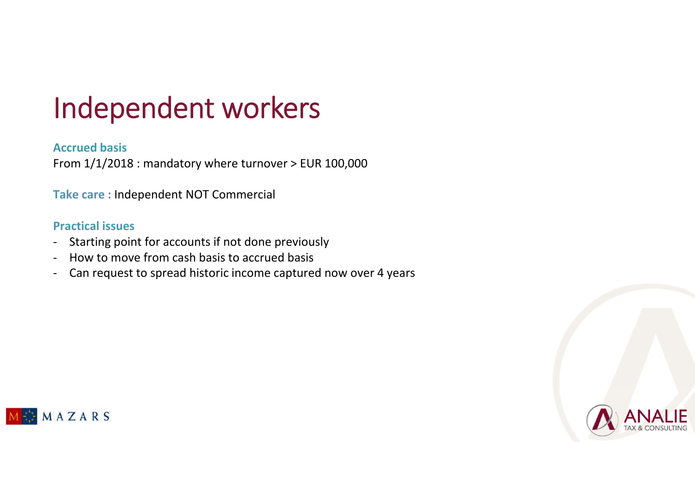# Independent workers

#### **Accrued basis**

From 1/1/2018 : mandatory where turnover > EUR 100,000

**Take care :** Independent NOT Commercial

#### **Practical issues**

- Starting point for accounts if not done previously
- How to move from cash basis to accrued basis
- Can request to spread historic income captured now over 4 years



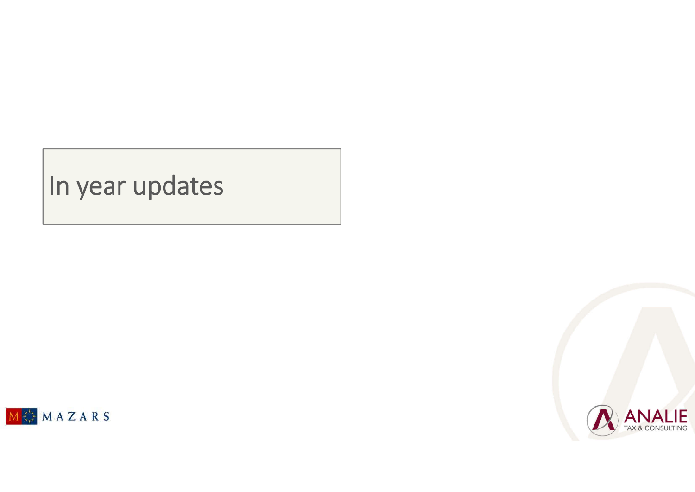## In year updates



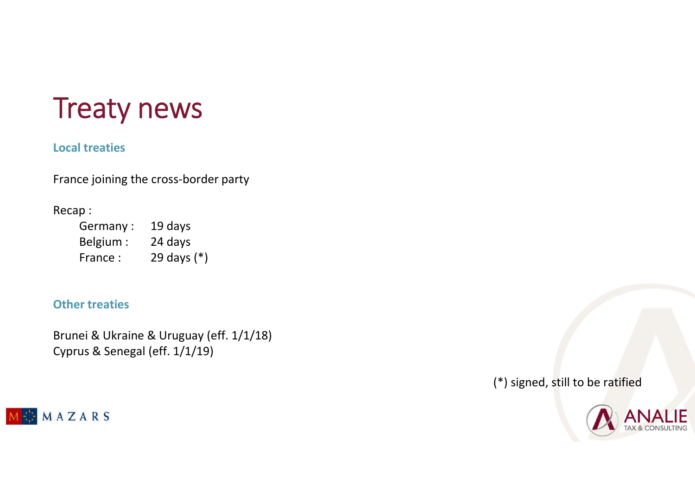# Treaty news

#### **Local treaties**

France joining the cross-border party

#### Recap :

Germany : 19 days Belgium : 24 days France : 29 days (\*)

#### **Other treaties**

Brunei & Ukraine & Uruguay (eff. 1/1/18) Cyprus & Senegal (eff. 1/1/19)

MAZARS

(\*) signed, still to be ratified

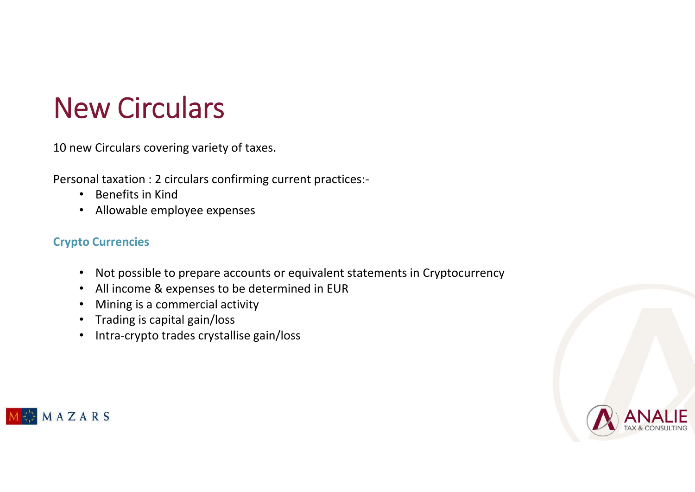# New Circulars

10 new Circulars covering variety of taxes.

Personal taxation : 2 circulars confirming current practices:-

- Benefits in Kind
- Allowable employee expenses

### **Crypto Currencies**

- Not possible to prepare accounts or equivalent statements in Cryptocurrency
- All income & expenses to be determined in EUR
- Mining is a commercial activity
- Trading is capital gain/loss
- Intra-crypto trades crystallise gain/loss



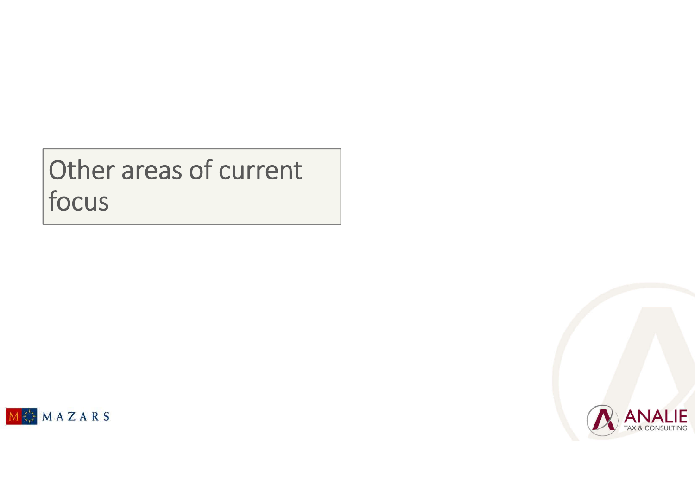## Other areas of current focus



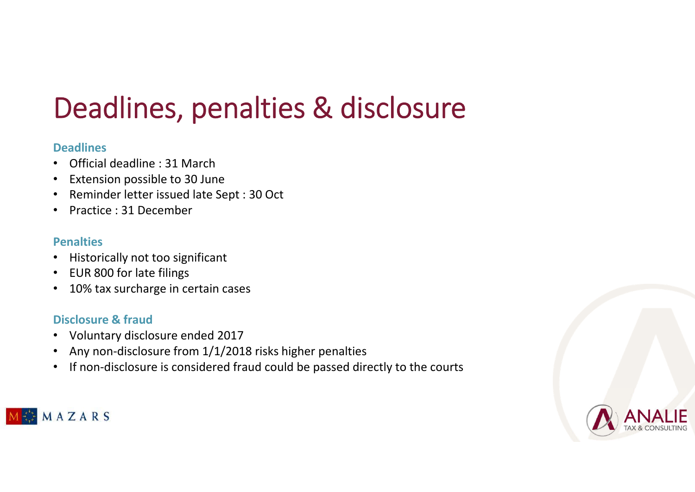# Deadlines, penalties & disclosure

#### **Deadlines**

- Official deadline : 31 March
- Extension possible to 30 June
- Reminder letter issued late Sept : 30 Oct
- Practice : 31 December

#### **Penalties**

- Historically not too significant
- EUR 800 for late filings
- 10% tax surcharge in certain cases

### **Disclosure & fraud**

- Voluntary disclosure ended 2017
- Any non-disclosure from 1/1/2018 risks higher penalties
- If non-disclosure is considered fraud could be passed directly to the courts



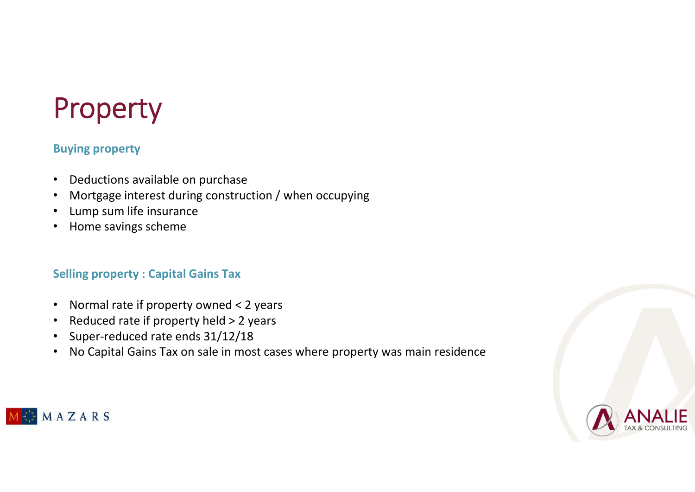# Property

#### **Buying property**

- Deductions available on purchase
- Mortgage interest during construction / when occupying
- Lump sum life insurance
- Home savings scheme

#### **Selling property : Capital Gains Tax**

- Normal rate if property owned < 2 years
- Reduced rate if property held > 2 years
- Super-reduced rate ends 31/12/18
- No Capital Gains Tax on sale in most cases where property was main residence



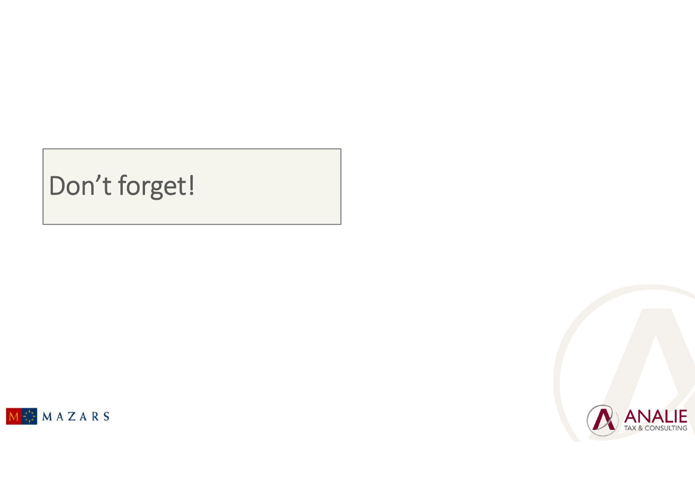## Don't forget!



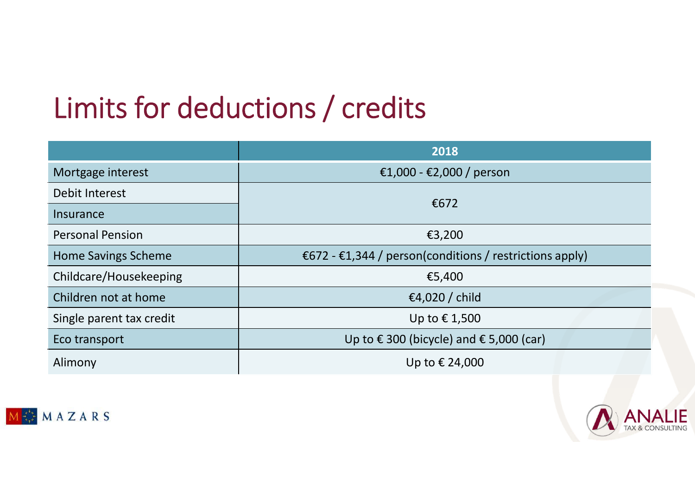# Limits for deductions / credits

|                            | 2018                                                    |
|----------------------------|---------------------------------------------------------|
| Mortgage interest          | €1,000 - €2,000 / person                                |
| Debit Interest             | €672                                                    |
| Insurance                  |                                                         |
| <b>Personal Pension</b>    | €3,200                                                  |
| <b>Home Savings Scheme</b> | €672 - €1,344 / person(conditions / restrictions apply) |
| Childcare/Housekeeping     | €5,400                                                  |
| Children not at home       | €4,020 / child                                          |
| Single parent tax credit   | Up to €1,500                                            |
| Eco transport              | Up to €300 (bicycle) and $€$ 5,000 (car)                |
| Alimony                    | Up to € 24,000                                          |